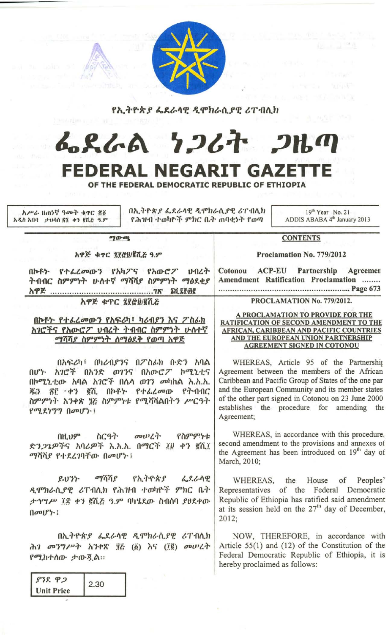

የኢትዮጵ*ያ ፌ*ደራሳዊ ዲሞክራሲ*ያዊ ሪ*ፐብሊክ

## んくんぬ ケンムヤ クルの FEDERAL NEGARIT GAZETTE

OF THE FEDERAL DEMOCRATIC REPUBLIC OF ETHIOPIA

አሥራ ዘጠነኛ ዓመት ቁጥር ổ፩ አዲስ አበባ ፣ ታህሳስ ፳፮ ቀን ፪ሺሯ ዓ.ም

MIEY

በኢትዮጵያ ፌደራሳዊ ዲሞክራሲያዊ ሪፐ በሊክ የሕዝብ ተወካዮች ምክር ቤት ጠባቂነት የወጣ

 $19<sup>th</sup> Year$  No. 21 ADDIS ABABA 4<sup>th</sup> January 2013

 $90 - 69$ 

አዋጅ ቁጥር ፯፻፸፱/፪ሺਣ ዓ.ም

በኮቶኑ የተፌረመውን የአካፖና የአውሮፖ ህብረት ትብብር ስምምነት ሁለተኛ ማሻሻያ ስምምነት ማፅደቂያ 

አዋጅ ቁጥር ፯፻፸፱/፪ሺሯ

## በኮቶት የተራረመውን የአፍሪካ፣ ካሪብያን እና ፖስራክ አገሮችና የአውሮፖ ህብረት ትብብር ስምምነት ሁለተኛ ማሻሻያ ስምምነት ስማፅደቅ የወጣ አዋጅ

በአፍሪካ፣ በካሪብያንና በፖስፊክ ቡድን አባል በሆኑ አገሮች በአንድ ወገንና በአውሮፖ ኮሚኒቲና በኮሚኒቲው አባል አገሮች በሌሳ ወገን መካከል እ.አ.አ. ጄን ፳፫ ቀን ፪ሺ በኮቶኑ የተፌረመው የትብብር ስምምነት አንቀጽ ፺፫ ስምምነቱ የሚሻሻልበትን ሥርዓት የሚደነግግ በመሆኑ !

oow Lil. የስምምንቱ በዚህም ስርዓት ድን*ጋጌዎች*ና አባሪዎች እ.አ.አ. በማርች ፤፱ ቀን ፪ሺ፤ ማሻሻያ የተደረገባቸው በመሆኑ !

የኢትዮጵያ ይህንን ማሻሻያ ፌደራሳዊ ዲሞክራሲያዊ ሪፐብሲክ የሕዝብ ተወካዮች ምክር ቤት ታኅሣሥ ፲፰ ቀን ፪ሺਣ ዓ.ም ባካሄደው ስብሰባ ያፀደቀው  $\left(\left| \rho v \right|\right)^{1}$ 

በኢትዮጵያ ፌደራሳዊ ዲሞክራሲያዊ ሪፐብሲክ ሕገ መንግሥት አንቀጽ ፶፫ (፩) እና (፲፪) መሠረት የሚከተሰው ታውጇል።

| 5.36              | 2.30 |
|-------------------|------|
| <b>Unit Price</b> |      |

**ACP-EU** Partnership Agreemen Cotonou Amendment Ratification Proclamation ........ 

**CONTENTS** 

Proclamation No. 779/2012

PROCLAMATION No. 779/2012.

## A PROCLAMATION TO PROVIDE FOR THE RATIFICATION OF SECOND AMENDMENT TO THE AFRICAN, CARIBBEAN AND PACIFIC COUNTRIES AND THE EUROPEAN UNION PARTNERSHIP **AGREEMENT SIGNED IN COTONOU**

WHEREAS, Article 95 of the Partnership Agreement between the members of the African Caribbean and Pacific Group of States of the one par and the European Community and its member states of the other part signed in Cotonou on 23 June 2000 establishes the procedure for amending the Agreement;

WHEREAS, in accordance with this procedure, second amendment to the provisions and annexes of the Agreement has been introduced on 19<sup>th</sup> day of March, 2010;

WHEREAS, the House of Peoples' Representatives of the Federal Democratic Republic of Ethiopia has ratified said amendment at its session held on the 27<sup>th</sup> day of December,  $2012:$ 

NOW, THEREFORE, in accordance with Article 55(1) and (12) of the Constitution of the Federal Democratic Republic of Ethiopia, it is hereby proclaimed as follows: